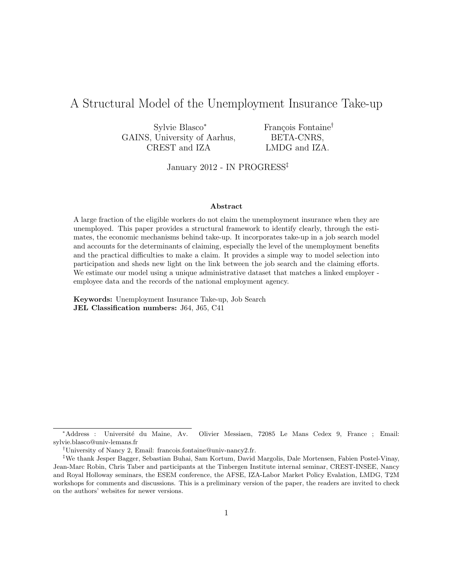# A Structural Model of the Unemployment Insurance Take-up

| Sylvie Blasco*               | François Fontaine <sup>†</sup> |
|------------------------------|--------------------------------|
| GAINS, University of Aarhus, | BETA-CNRS,                     |
| CREST and IZA                | LMDG and IZA.                  |

January 2012 - IN PROGRESS‡

#### Abstract

A large fraction of the eligible workers do not claim the unemployment insurance when they are unemployed. This paper provides a structural framework to identify clearly, through the estimates, the economic mechanisms behind take-up. It incorporates take-up in a job search model and accounts for the determinants of claiming, especially the level of the unemployment benefits and the practical difficulties to make a claim. It provides a simple way to model selection into participation and sheds new light on the link between the job search and the claiming efforts. We estimate our model using a unique administrative dataset that matches a linked employer employee data and the records of the national employment agency.

Keywords: Unemployment Insurance Take-up, Job Search JEL Classification numbers: J64, J65, C41

<sup>∗</sup>Address : Universit´e du Maine, Av. Olivier Messiaen, 72085 Le Mans Cedex 9, France ; Email: sylvie.blasco@univ-lemans.fr

<sup>†</sup>University of Nancy 2, Email: francois.fontaine@univ-nancy2.fr.

<sup>‡</sup>We thank Jesper Bagger, Sebastian Buhai, Sam Kortum, David Margolis, Dale Mortensen, Fabien Postel-Vinay, Jean-Marc Robin, Chris Taber and participants at the Tinbergen Institute internal seminar, CREST-INSEE, Nancy and Royal Holloway seminars, the ESEM conference, the AFSE, IZA-Labor Market Policy Evalation, LMDG, T2M workshops for comments and discussions. This is a preliminary version of the paper, the readers are invited to check on the authors' websites for newer versions.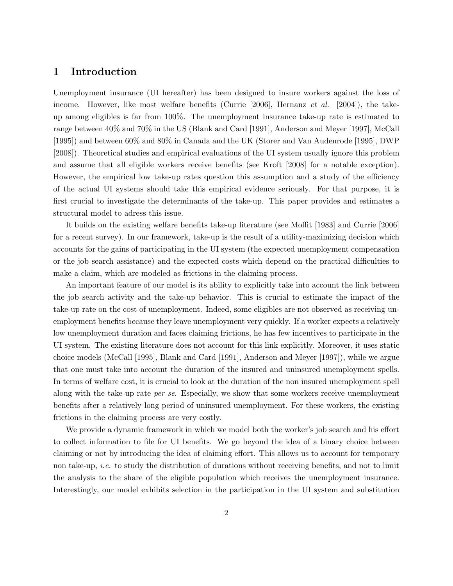### 1 Introduction

Unemployment insurance (UI hereafter) has been designed to insure workers against the loss of income. However, like most welfare benefits (Currie [2006], Hernanz *et al.* [2004]), the takeup among eligibles is far from 100%. The unemployment insurance take-up rate is estimated to range between 40% and 70% in the US (Blank and Card [1991], Anderson and Meyer [1997], McCall [1995]) and between 60% and 80% in Canada and the UK (Storer and Van Audenrode [1995], DWP [2008]). Theoretical studies and empirical evaluations of the UI system usually ignore this problem and assume that all eligible workers receive benefits (see Kroft [2008] for a notable exception). However, the empirical low take-up rates question this assumption and a study of the efficiency of the actual UI systems should take this empirical evidence seriously. For that purpose, it is first crucial to investigate the determinants of the take-up. This paper provides and estimates a structural model to adress this issue.

It builds on the existing welfare benefits take-up literature (see Moffit [1983] and Currie [2006] for a recent survey). In our framework, take-up is the result of a utility-maximizing decision which accounts for the gains of participating in the UI system (the expected unemployment compensation or the job search assistance) and the expected costs which depend on the practical difficulties to make a claim, which are modeled as frictions in the claiming process.

An important feature of our model is its ability to explicitly take into account the link between the job search activity and the take-up behavior. This is crucial to estimate the impact of the take-up rate on the cost of unemployment. Indeed, some eligibles are not observed as receiving unemployment benefits because they leave unemployment very quickly. If a worker expects a relatively low unemployment duration and faces claiming frictions, he has few incentives to participate in the UI system. The existing literature does not account for this link explicitly. Moreover, it uses static choice models (McCall [1995], Blank and Card [1991], Anderson and Meyer [1997]), while we argue that one must take into account the duration of the insured and uninsured unemployment spells. In terms of welfare cost, it is crucial to look at the duration of the non insured unemployment spell along with the take-up rate *per se.* Especially, we show that some workers receive unemployment benefits after a relatively long period of uninsured unemployment. For these workers, the existing frictions in the claiming process are very costly.

We provide a dynamic framework in which we model both the worker's job search and his effort to collect information to file for UI benefits. We go beyond the idea of a binary choice between claiming or not by introducing the idea of claiming effort. This allows us to account for temporary non take-up, i.e. to study the distribution of durations without receiving benefits, and not to limit the analysis to the share of the eligible population which receives the unemployment insurance. Interestingly, our model exhibits selection in the participation in the UI system and substitution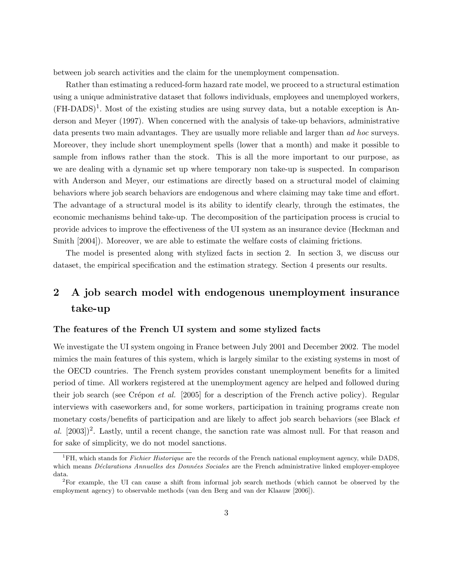between job search activities and the claim for the unemployment compensation.

Rather than estimating a reduced-form hazard rate model, we proceed to a structural estimation using a unique administrative dataset that follows individuals, employees and unemployed workers,  $(FH-DADS)^1$ . Most of the existing studies are using survey data, but a notable exception is Anderson and Meyer (1997). When concerned with the analysis of take-up behaviors, administrative data presents two main advantages. They are usually more reliable and larger than *ad hoc* surveys. Moreover, they include short unemployment spells (lower that a month) and make it possible to sample from inflows rather than the stock. This is all the more important to our purpose, as we are dealing with a dynamic set up where temporary non take-up is suspected. In comparison with Anderson and Meyer, our estimations are directly based on a structural model of claiming behaviors where job search behaviors are endogenous and where claiming may take time and effort. The advantage of a structural model is its ability to identify clearly, through the estimates, the economic mechanisms behind take-up. The decomposition of the participation process is crucial to provide advices to improve the effectiveness of the UI system as an insurance device (Heckman and Smith [2004]). Moreover, we are able to estimate the welfare costs of claiming frictions.

The model is presented along with stylized facts in section 2. In section 3, we discuss our dataset, the empirical specification and the estimation strategy. Section 4 presents our results.

# 2 A job search model with endogenous unemployment insurance take-up

#### The features of the French UI system and some stylized facts

We investigate the UI system ongoing in France between July 2001 and December 2002. The model mimics the main features of this system, which is largely similar to the existing systems in most of the OECD countries. The French system provides constant unemployment benefits for a limited period of time. All workers registered at the unemployment agency are helped and followed during their job search (see Crépon *et al.* [2005] for a description of the French active policy). Regular interviews with caseworkers and, for some workers, participation in training programs create non monetary costs/benefits of participation and are likely to affect job search behaviors (see Black *et* al.  $[2003]$ <sup>2</sup>. Lastly, until a recent change, the sanction rate was almost null. For that reason and for sake of simplicity, we do not model sanctions.

 ${}^{1}$ FH, which stands for *Fichier Historique* are the records of the French national employment agency, while DADS, which means Déclarations Annuelles des Données Sociales are the French administrative linked employer-employee data.

<sup>2</sup>For example, the UI can cause a shift from informal job search methods (which cannot be observed by the employment agency) to observable methods (van den Berg and van der Klaauw [2006]).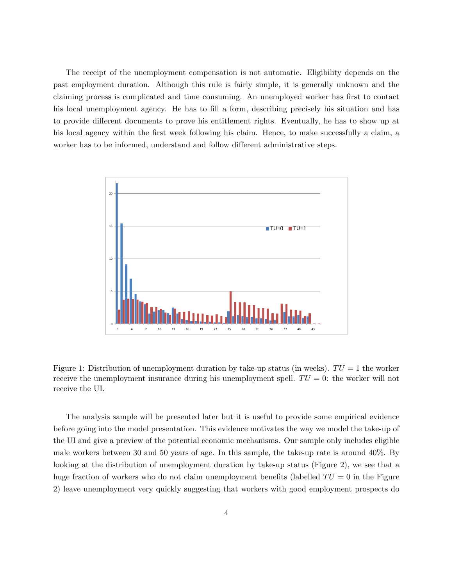The receipt of the unemployment compensation is not automatic. Eligibility depends on the past employment duration. Although this rule is fairly simple, it is generally unknown and the claiming process is complicated and time consuming. An unemployed worker has first to contact his local unemployment agency. He has to fill a form, describing precisely his situation and has to provide different documents to prove his entitlement rights. Eventually, he has to show up at his local agency within the first week following his claim. Hence, to make successfully a claim, a worker has to be informed, understand and follow different administrative steps.



Figure 1: Distribution of unemployment duration by take-up status (in weeks).  $TU = 1$  the worker receive the unemployment insurance during his unemployment spell.  $TU = 0$ : the worker will not receive the UI.

The analysis sample will be presented later but it is useful to provide some empirical evidence before going into the model presentation. This evidence motivates the way we model the take-up of the UI and give a preview of the potential economic mechanisms. Our sample only includes eligible male workers between 30 and 50 years of age. In this sample, the take-up rate is around 40%. By looking at the distribution of unemployment duration by take-up status (Figure 2), we see that a huge fraction of workers who do not claim unemployment benefits (labelled  $TU = 0$  in the Figure 2) leave unemployment very quickly suggesting that workers with good employment prospects do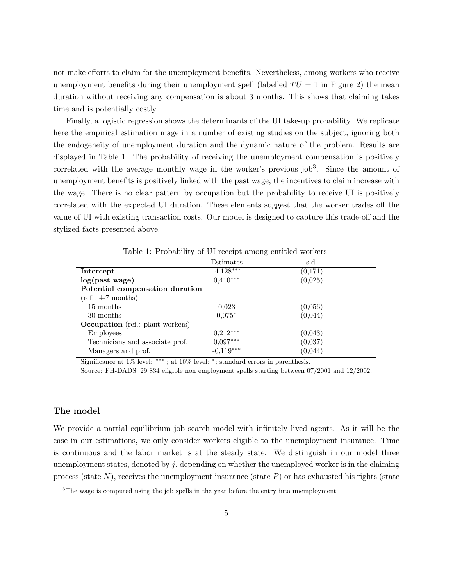not make efforts to claim for the unemployment benefits. Nevertheless, among workers who receive unemployment benefits during their unemployment spell (labelled  $TU = 1$  in Figure 2) the mean duration without receiving any compensation is about 3 months. This shows that claiming takes time and is potentially costly.

Finally, a logistic regression shows the determinants of the UI take-up probability. We replicate here the empirical estimation mage in a number of existing studies on the subject, ignoring both the endogeneity of unemployment duration and the dynamic nature of the problem. Results are displayed in Table 1. The probability of receiving the unemployment compensation is positively correlated with the average monthly wage in the worker's previous  $job<sup>3</sup>$ . Since the amount of unemployment benefits is positively linked with the past wage, the incentives to claim increase with the wage. There is no clear pattern by occupation but the probability to receive UI is positively correlated with the expected UI duration. These elements suggest that the worker trades off the value of UI with existing transaction costs. Our model is designed to capture this trade-off and the stylized facts presented above.

| $\cdot$                                 | л.          | $\cdot$ |
|-----------------------------------------|-------------|---------|
|                                         | Estimates   | s.d.    |
| Intercept                               | $-4.128***$ | (0,171) |
| log(past wage)                          | $0.410***$  | (0,025) |
| Potential compensation duration         |             |         |
| $(ref.: 4-7 months)$                    |             |         |
| 15 months                               | 0.023       | (0,056) |
| 30 months                               | $0.075*$    | (0,044) |
| <b>Occupation</b> (ref.: plant workers) |             |         |
| <b>Employees</b>                        | $0,212***$  | (0,043) |
| Technicians and associate prof.         | $0.097***$  | (0,037) |
| Managers and prof.                      | $-0.119***$ | (0,044) |

Table 1: Probability of UI receipt among entitled workers

Significance at 1% level: ∗∗∗ ; at 10% level: <sup>∗</sup> ; standard errors in parenthesis.

Source: FH-DADS, 29 834 eligible non employment spells starting between 07/2001 and 12/2002.

#### The model

We provide a partial equilibrium job search model with infinitely lived agents. As it will be the case in our estimations, we only consider workers eligible to the unemployment insurance. Time is continuous and the labor market is at the steady state. We distinguish in our model three unemployment states, denoted by  $j$ , depending on whether the unemployed worker is in the claiming process (state  $N$ ), receives the unemployment insurance (state  $P$ ) or has exhausted his rights (state

<sup>&</sup>lt;sup>3</sup>The wage is computed using the job spells in the year before the entry into unemployment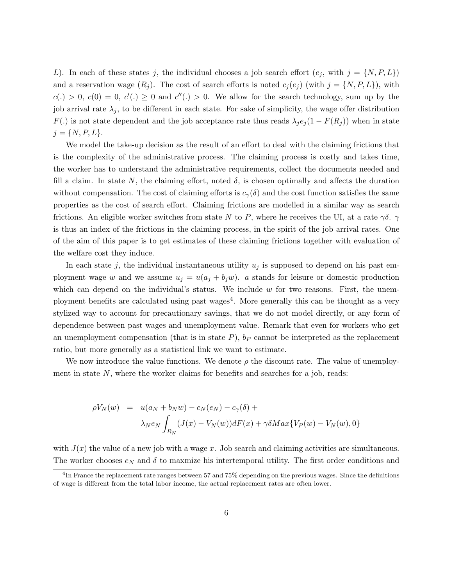L). In each of these states j, the individual chooses a job search effort  $(e_i, \text{ with } j = \{N, P, L\})$ and a reservation wage  $(R_j)$ . The cost of search efforts is noted  $c_j(e_j)$  (with  $j = \{N, P, L\}$ ), with  $c(.) > 0, c(0) = 0, c'(.) \geq 0$  and  $c''(.) > 0$ . We allow for the search technology, sum up by the job arrival rate  $\lambda_j$ , to be different in each state. For sake of simplicity, the wage offer distribution  $F(.)$  is not state dependent and the job acceptance rate thus reads  $\lambda_j e_j (1 - F(R_j))$  when in state  $j = \{N, P, L\}.$ 

We model the take-up decision as the result of an effort to deal with the claiming frictions that is the complexity of the administrative process. The claiming process is costly and takes time, the worker has to understand the administrative requirements, collect the documents needed and fill a claim. In state N, the claiming effort, noted  $\delta$ , is chosen optimally and affects the duration without compensation. The cost of claiming efforts is  $c_{\gamma}(\delta)$  and the cost function satisfies the same properties as the cost of search effort. Claiming frictions are modelled in a similar way as search frictions. An eligible worker switches from state N to P, where he receives the UI, at a rate  $\gamma\delta$ .  $\gamma$ is thus an index of the frictions in the claiming process, in the spirit of the job arrival rates. One of the aim of this paper is to get estimates of these claiming frictions together with evaluation of the welfare cost they induce.

In each state j, the individual instantaneous utility  $u_j$  is supposed to depend on his past employment wage w and we assume  $u_j = u(a_j + b_j w)$ . a stands for leisure or domestic production which can depend on the individual's status. We include  $w$  for two reasons. First, the unemployment benefits are calculated using past wages<sup>4</sup>. More generally this can be thought as a very stylized way to account for precautionary savings, that we do not model directly, or any form of dependence between past wages and unemployment value. Remark that even for workers who get an unemployment compensation (that is in state  $P$ ),  $b_P$  cannot be interpreted as the replacement ratio, but more generally as a statistical link we want to estimate.

We now introduce the value functions. We denote  $\rho$  the discount rate. The value of unemployment in state  $N$ , where the worker claims for benefits and searches for a job, reads:

$$
\rho V_N(w) = u(a_N + b_N w) - c_N(e_N) - c_\gamma(\delta) +
$$
  

$$
\lambda_N e_N \int_{R_N} (J(x) - V_N(w)) dF(x) + \gamma \delta M a x \{ V_P(w) - V_N(w), 0 \}
$$

with  $J(x)$  the value of a new job with a wage x. Job search and claiming activities are simultaneous. The worker chooses  $e_N$  and  $\delta$  to maxmize his intertemporal utility. The first order conditions and

<sup>4</sup> In France the replacement rate ranges between 57 and 75% depending on the previous wages. Since the definitions of wage is different from the total labor income, the actual replacement rates are often lower.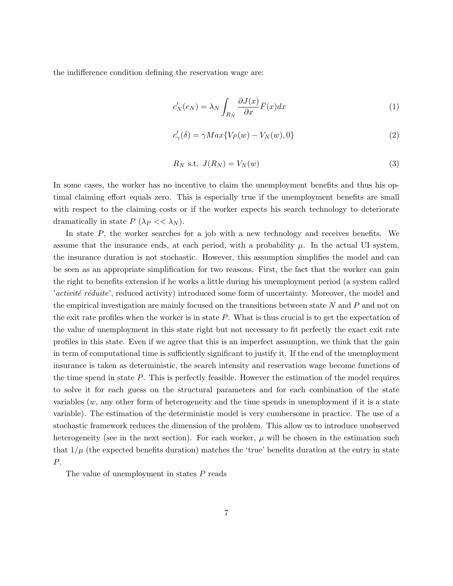the indifference condition defining the reservation wage are:

$$
c'_{N}(e_{N}) = \lambda_{N} \int_{R_{N}} \frac{\partial J(x)}{\partial x} \bar{F}(x) dx
$$
\n(1)

$$
c'_{\gamma}(\delta) = \gamma Max\{V_P(w) - V_N(w), 0\}
$$
\n(2)

$$
R_N \text{ s.t. } J(R_N) = V_N(w) \tag{3}
$$

In some cases, the worker has no incentive to claim the unemployment benefits and thus his optimal claiming effort equals zero. This is especially true if the unemployment benefits are small with respect to the claiming costs or if the worker expects his search technology to deteriorate dramatically in state  $P(\lambda_P << \lambda_N)$ .

In state  $P$ , the worker searches for a job with a new technology and receives benefits. We assume that the insurance ends, at each period, with a probability  $\mu$ . In the actual UI system, the insurance duration is not stochastic. However, this assumption simplifies the model and can be seen as an appropriate simplification for two reasons. First, the fact that the worker can gain the right to benefits extension if he works a little during his unemployment period (a system called 'activité réduite', reduced activity) introduced some form of uncertainty. Moreover, the model and the empirical investigation are mainly focused on the transitions between state  $N$  and  $P$  and not on the exit rate profiles when the worker is in state  $P$ . What is thus crucial is to get the expectation of the value of unemployment in this state right but not necessary to fit perfectly the exact exit rate profiles in this state. Even if we agree that this is an imperfect assumption, we think that the gain in term of computational time is sufficiently significant to justify it. If the end of the unemployment insurance is taken as deterministic, the search intensity and reservation wage become functions of the time spend in state  $P$ . This is perfectly feasible. However the estimation of the model requires to solve it for each guess on the structural parameters and for each combination of the state variables  $(w, \text{ any other form of heterogeneity and the time spends in unemptyment if it is a state})$ variable). The estimation of the deterministic model is very cumbersome in practice. The use of a stochastic framework reduces the dimension of the problem. This allow us to introduce unobserved heterogeneity (see in the next section). For each worker,  $\mu$  will be chosen in the estimation such that  $1/\mu$  (the expected benefits duration) matches the 'true' benefits duration at the entry in state P.

The value of unemployment in states P reads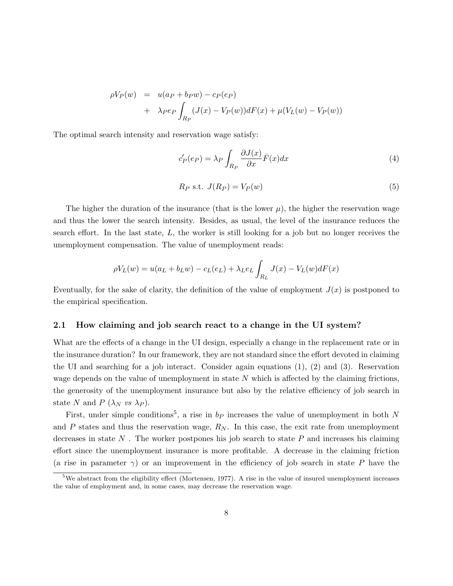$$
\rho V_P(w) = u(a_P + b_P w) - c_P(e_P)
$$
  
+ 
$$
\lambda_P e_P \int_{R_P} (J(x) - V_P(w)) dF(x) + \mu(V_L(w) - V_P(w))
$$

The optimal search intensity and reservation wage satisfy:

$$
c'_{P}(e_{P}) = \lambda_{P} \int_{R_{P}} \frac{\partial J(x)}{\partial x} \bar{F}(x) dx
$$
\n(4)

$$
R_P \text{ s.t. } J(R_P) = V_P(w) \tag{5}
$$

The higher the duration of the insurance (that is the lower  $\mu$ ), the higher the reservation wage and thus the lower the search intensity. Besides, as usual, the level of the insurance reduces the search effort. In the last state,  $L$ , the worker is still looking for a job but no longer receives the unemployment compensation. The value of unemployment reads:

$$
\rho V_L(w) = u(a_L + b_L w) - c_L(e_L) + \lambda_L e_L \int_{R_L} J(x) - V_L(w) dF(x)
$$

Eventually, for the sake of clarity, the definition of the value of employment  $J(x)$  is postponed to the empirical specification.

#### 2.1 How claiming and job search react to a change in the UI system?

What are the effects of a change in the UI design, especially a change in the replacement rate or in the insurance duration? In our framework, they are not standard since the effort devoted in claiming the UI and searching for a job interact. Consider again equations  $(1)$ ,  $(2)$  and  $(3)$ . Reservation wage depends on the value of unemployment in state N which is affected by the claiming frictions, the generosity of the unemployment insurance but also by the relative efficiency of job search in state N and P  $(\lambda_N \text{ vs } \lambda_P)$ .

First, under simple conditions<sup>5</sup>, a rise in  $b_P$  increases the value of unemployment in both N and  $P$  states and thus the reservation wage,  $R_N$ . In this case, the exit rate from unemployment decreases in state  $N$ . The worker postpones his job search to state  $P$  and increases his claiming effort since the unemployment insurance is more profitable. A decrease in the claiming friction (a rise in parameter  $\gamma$ ) or an improvement in the efficiency of job search in state P have the

 $5$ We abstract from the eligibility effect (Mortensen, 1977). A rise in the value of insured unemployment increases the value of employment and, in some cases, may decrease the reservation wage.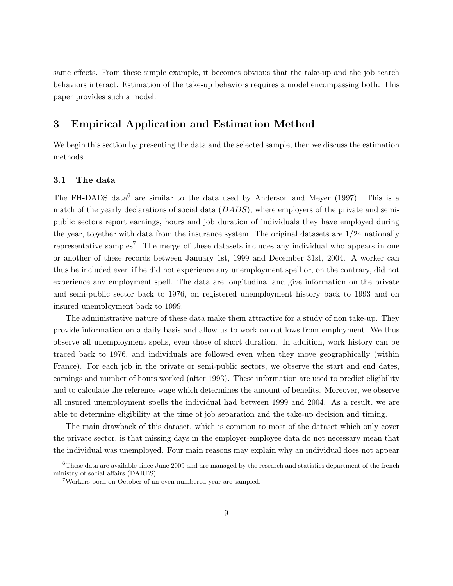same effects. From these simple example, it becomes obvious that the take-up and the job search behaviors interact. Estimation of the take-up behaviors requires a model encompassing both. This paper provides such a model.

### 3 Empirical Application and Estimation Method

We begin this section by presenting the data and the selected sample, then we discuss the estimation methods.

#### 3.1 The data

The FH-DADS data<sup>6</sup> are similar to the data used by Anderson and Meyer (1997). This is a match of the yearly declarations of social data  $(DADS)$ , where employers of the private and semipublic sectors report earnings, hours and job duration of individuals they have employed during the year, together with data from the insurance system. The original datasets are  $1/24$  nationally representative samples<sup>7</sup>. The merge of these datasets includes any individual who appears in one or another of these records between January 1st, 1999 and December 31st, 2004. A worker can thus be included even if he did not experience any unemployment spell or, on the contrary, did not experience any employment spell. The data are longitudinal and give information on the private and semi-public sector back to 1976, on registered unemployment history back to 1993 and on insured unemployment back to 1999.

The administrative nature of these data make them attractive for a study of non take-up. They provide information on a daily basis and allow us to work on outflows from employment. We thus observe all unemployment spells, even those of short duration. In addition, work history can be traced back to 1976, and individuals are followed even when they move geographically (within France). For each job in the private or semi-public sectors, we observe the start and end dates, earnings and number of hours worked (after 1993). These information are used to predict eligibility and to calculate the reference wage which determines the amount of benefits. Moreover, we observe all insured unemployment spells the individual had between 1999 and 2004. As a result, we are able to determine eligibility at the time of job separation and the take-up decision and timing.

The main drawback of this dataset, which is common to most of the dataset which only cover the private sector, is that missing days in the employer-employee data do not necessary mean that the individual was unemployed. Four main reasons may explain why an individual does not appear

 $6$ These data are available since June 2009 and are managed by the research and statistics department of the french ministry of social affairs (DARES).

<sup>7</sup>Workers born on October of an even-numbered year are sampled.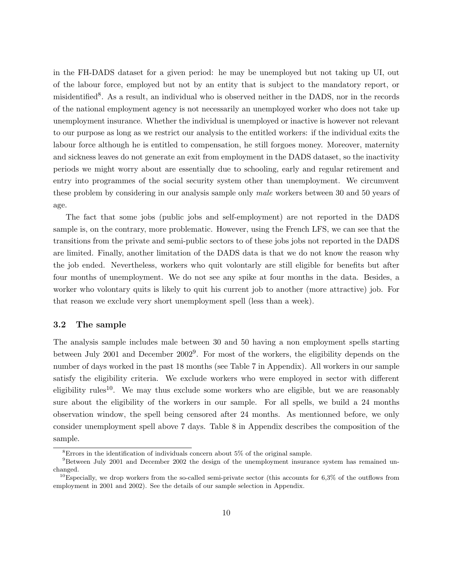in the FH-DADS dataset for a given period: he may be unemployed but not taking up UI, out of the labour force, employed but not by an entity that is subject to the mandatory report, or misidentified<sup>8</sup>. As a result, an individual who is observed neither in the DADS, nor in the records of the national employment agency is not necessarily an unemployed worker who does not take up unemployment insurance. Whether the individual is unemployed or inactive is however not relevant to our purpose as long as we restrict our analysis to the entitled workers: if the individual exits the labour force although he is entitled to compensation, he still forgoes money. Moreover, maternity and sickness leaves do not generate an exit from employment in the DADS dataset, so the inactivity periods we might worry about are essentially due to schooling, early and regular retirement and entry into programmes of the social security system other than unemployment. We circumvent these problem by considering in our analysis sample only male workers between 30 and 50 years of age.

The fact that some jobs (public jobs and self-employment) are not reported in the DADS sample is, on the contrary, more problematic. However, using the French LFS, we can see that the transitions from the private and semi-public sectors to of these jobs jobs not reported in the DADS are limited. Finally, another limitation of the DADS data is that we do not know the reason why the job ended. Nevertheless, workers who quit volontarly are still eligible for benefits but after four months of unemployment. We do not see any spike at four months in the data. Besides, a worker who volontary quits is likely to quit his current job to another (more attractive) job. For that reason we exclude very short unemployment spell (less than a week).

#### 3.2 The sample

The analysis sample includes male between 30 and 50 having a non employment spells starting between July 2001 and December 2002<sup>9</sup>. For most of the workers, the eligibility depends on the number of days worked in the past 18 months (see Table 7 in Appendix). All workers in our sample satisfy the eligibility criteria. We exclude workers who were employed in sector with different eligibility rules<sup>10</sup>. We may thus exclude some workers who are eligible, but we are reasonably sure about the eligibility of the workers in our sample. For all spells, we build a 24 months observation window, the spell being censored after 24 months. As mentionned before, we only consider unemployment spell above 7 days. Table 8 in Appendix describes the composition of the sample.

<sup>8</sup>Errors in the identification of individuals concern about 5% of the original sample.

<sup>&</sup>lt;sup>9</sup>Between July 2001 and December 2002 the design of the unemployment insurance system has remained unchanged.

<sup>&</sup>lt;sup>10</sup>Especially, we drop workers from the so-called semi-private sector (this accounts for  $6,3\%$  of the outflows from employment in 2001 and 2002). See the details of our sample selection in Appendix.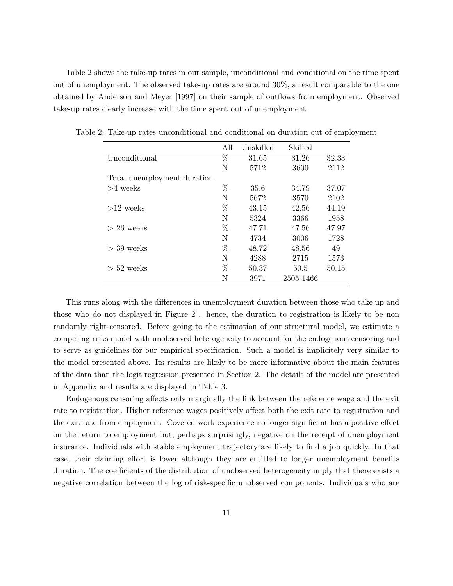Table 2 shows the take-up rates in our sample, unconditional and conditional on the time spent out of unemployment. The observed take-up rates are around 30%, a result comparable to the one obtained by Anderson and Meyer [1997] on their sample of outflows from employment. Observed take-up rates clearly increase with the time spent out of unemployment.

|                             | All  | Unskilled | Skilled   |       |
|-----------------------------|------|-----------|-----------|-------|
| Unconditional               | $\%$ | 31.65     | 31.26     | 32.33 |
|                             | N    | 5712      | 3600      | 2112  |
| Total unemployment duration |      |           |           |       |
| $>4$ weeks                  | %    | 35.6      | 34.79     | 37.07 |
|                             | N    | 5672      | 3570      | 2102  |
| $>12$ weeks                 | %    | 43.15     | 42.56     | 44.19 |
|                             | N    | 5324      | 3366      | 1958  |
| $> 26$ weeks                | %    | 47.71     | 47.56     | 47.97 |
|                             | N    | 4734      | 3006      | 1728  |
| $>$ 39 weeks                | %    | 48.72     | 48.56     | 49    |
|                             | N    | 4288      | 2715      | 1573  |
| $> 52$ weeks                | %    | 50.37     | 50.5      | 50.15 |
|                             | N    | 3971      | 2505 1466 |       |

Table 2: Take-up rates unconditional and conditional on duration out of employment

This runs along with the differences in unemployment duration between those who take up and those who do not displayed in Figure 2 . hence, the duration to registration is likely to be non randomly right-censored. Before going to the estimation of our structural model, we estimate a competing risks model with unobserved heterogeneity to account for the endogenous censoring and to serve as guidelines for our empirical specification. Such a model is implicitely very similar to the model presented above. Its results are likely to be more informative about the main features of the data than the logit regression presented in Section 2. The details of the model are presented in Appendix and results are displayed in Table 3.

Endogenous censoring affects only marginally the link between the reference wage and the exit rate to registration. Higher reference wages positively affect both the exit rate to registration and the exit rate from employment. Covered work experience no longer significant has a positive effect on the return to employment but, perhaps surprisingly, negative on the receipt of unemployment insurance. Individuals with stable employment trajectory are likely to find a job quickly. In that case, their claiming effort is lower although they are entitled to longer unemployment benefits duration. The coefficients of the distribution of unobserved heterogeneity imply that there exists a negative correlation between the log of risk-specific unobserved components. Individuals who are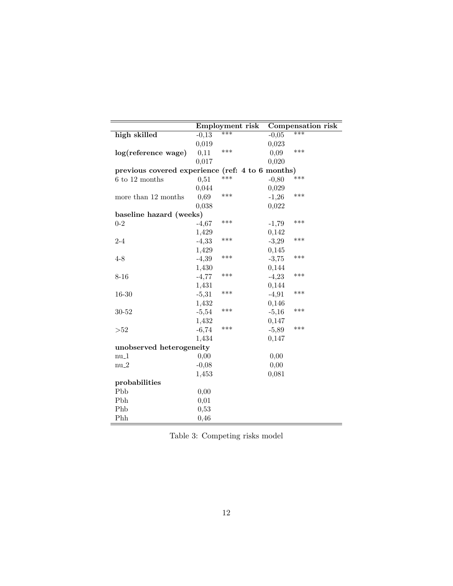|                                                  |         | Employment risk |         | <b>Compensation risk</b> |
|--------------------------------------------------|---------|-----------------|---------|--------------------------|
| high skilled                                     | $-0,13$ | ***             | $-0,05$ | $***$                    |
|                                                  | 0,019   |                 | 0,023   |                          |
| log(reference wage)                              | 0,11    | ***             | 0,09    | ***                      |
|                                                  | 0,017   |                 | 0,020   |                          |
| previous covered experience (ref: 4 to 6 months) |         |                 |         |                          |
| 6 to 12 months                                   | 0,51    | ***             | $-0,80$ | ***                      |
|                                                  | 0,044   |                 | 0,029   |                          |
| more than 12 months                              | 0,69    | ***             | $-1,26$ | ***                      |
|                                                  | 0,038   |                 | 0,022   |                          |
| baseline hazard (weeks)                          |         |                 |         |                          |
| $0 - 2$                                          | $-4,67$ | ***             | $-1,79$ | ***                      |
|                                                  | 1,429   |                 | 0,142   |                          |
| $2 - 4$                                          | $-4,33$ | ***             | $-3,29$ | ***                      |
|                                                  | 1,429   |                 | 0,145   |                          |
| $4 - 8$                                          | $-4,39$ | ***             | $-3,75$ | ***                      |
|                                                  | 1,430   |                 | 0,144   |                          |
| $8 - 16$                                         | $-4,77$ | ***             | $-4,23$ | ***                      |
|                                                  | 1,431   |                 | 0,144   |                          |
| $16 - 30$                                        | $-5,31$ | ***             | $-4,91$ | ***                      |
|                                                  | 1,432   |                 | 0,146   |                          |
| $30 - 52$                                        | $-5,54$ | ***             | $-5,16$ | ***                      |
|                                                  | 1,432   |                 | 0,147   |                          |
| >52                                              | $-6,74$ | ***             | $-5,89$ | ***                      |
|                                                  | 1,434   |                 | 0,147   |                          |
| unobserved heterogeneity                         |         |                 |         |                          |
| $nu_1$                                           | 0,00    |                 | 0,00    |                          |
| $nu_2$                                           | $-0,08$ |                 | 0,00    |                          |
|                                                  | 1,453   |                 | 0,081   |                          |
| probabilities                                    |         |                 |         |                          |
| Pbb                                              | 0,00    |                 |         |                          |
| Pbh                                              | 0,01    |                 |         |                          |
| Phb                                              | 0,53    |                 |         |                          |
| Phh                                              | 0,46    |                 |         |                          |

Table 3: Competing risks model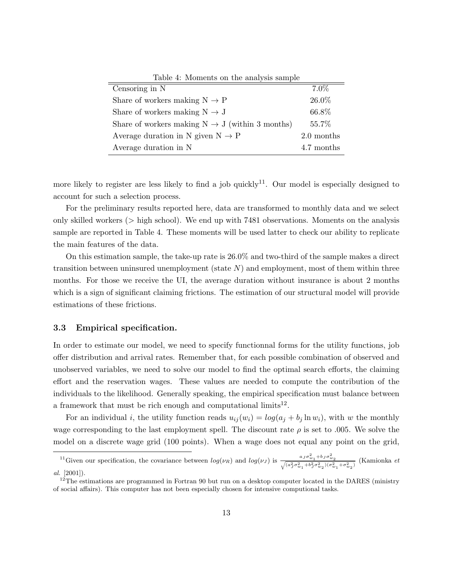| Table 4: Moments on the analysis sample                     |            |
|-------------------------------------------------------------|------------|
| Censoring in N                                              | 7.0%       |
| Share of workers making $N \rightarrow P$                   | 26.0%      |
| Share of workers making $N \rightarrow J$                   | 66.8%      |
| Share of workers making $N \rightarrow J$ (within 3 months) | 55.7%      |
| Average duration in N given $N \rightarrow P$               | 2.0 months |
| Average duration in N                                       | 4.7 months |

more likely to register are less likely to find a job quickly<sup>11</sup>. Our model is especially designed to account for such a selection process.

For the preliminary results reported here, data are transformed to monthly data and we select only skilled workers (> high school). We end up with 7481 observations. Moments on the analysis sample are reported in Table 4. These moments will be used latter to check our ability to replicate the main features of the data.

On this estimation sample, the take-up rate is 26.0% and two-third of the sample makes a direct transition between uninsured unemployment (state  $N$ ) and employment, most of them within three months. For those we receive the UI, the average duration without insurance is about 2 months which is a sign of significant claiming frictions. The estimation of our structural model will provide estimations of these frictions.

#### 3.3 Empirical specification.

In order to estimate our model, we need to specify functionnal forms for the utility functions, job offer distribution and arrival rates. Remember that, for each possible combination of observed and unobserved variables, we need to solve our model to find the optimal search efforts, the claiming effort and the reservation wages. These values are needed to compute the contribution of the individuals to the likelihood. Generally speaking, the empirical specification must balance between a framework that must be rich enough and computational  $\text{limits}^{12}$ .

For an individual i, the utility function reads  $u_{ij}(w_i) = log(a_j + b_j \ln w_i)$ , with w the monthly wage corresponding to the last employment spell. The discount rate  $\rho$  is set to .005. We solve the model on a discrete wage grid (100 points). When a wage does not equal any point on the grid,

<sup>&</sup>lt;sup>11</sup>Given our specification, the covariance between  $log(\nu_R)$  and  $log(\nu_J)$  is  $\frac{a_J \sigma_{w_1}^2 + b_J \sigma_{w_2}^2}{\sqrt{(a_J^2 \sigma_{w_1}^2 + b_J^2 \sigma_{w_2}^2)(\sigma_{w_1}^2 + \sigma_{w_2}^2)}}$  (Kamionka *et* al. [2001]).

 $12$ The estimations are programmed in Fortran 90 but run on a desktop computer located in the DARES (ministry of social affairs). This computer has not been especially chosen for intensive computional tasks.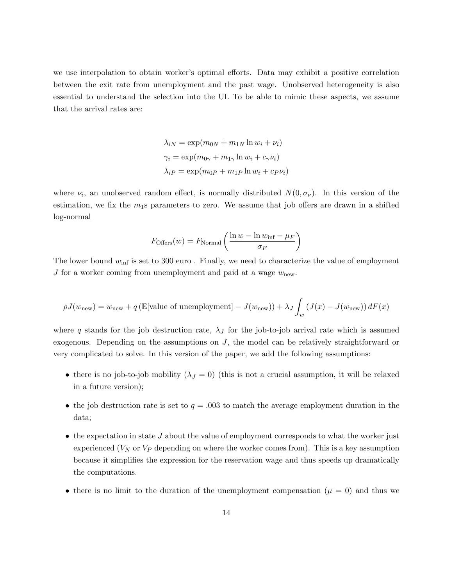we use interpolation to obtain worker's optimal efforts. Data may exhibit a positive correlation between the exit rate from unemployment and the past wage. Unobserved heterogeneity is also essential to understand the selection into the UI. To be able to mimic these aspects, we assume that the arrival rates are:

$$
\lambda_{iN} = \exp(m_{0N} + m_{1N} \ln w_i + \nu_i)
$$

$$
\gamma_i = \exp(m_{0\gamma} + m_{1\gamma} \ln w_i + c_\gamma \nu_i)
$$

$$
\lambda_{iP} = \exp(m_{0P} + m_{1P} \ln w_i + c_P \nu_i)
$$

where  $\nu_i$ , an unobserved random effect, is normally distributed  $N(0, \sigma_{\nu})$ . In this version of the estimation, we fix the  $m_1$ s parameters to zero. We assume that job offers are drawn in a shifted log-normal

$$
F_{\text{Offers}}(w) = F_{\text{Normal}}\left(\frac{\ln w - \ln w_{\text{inf}} - \mu_F}{\sigma_F}\right)
$$

The lower bound  $w_{\text{inf}}$  is set to 300 euro. Finally, we need to characterize the value of employment J for a worker coming from unemployment and paid at a wage  $w_{\text{new}}$ .

$$
\rho J(w_{\text{new}}) = w_{\text{new}} + q \left( \mathbb{E}[\text{value of unemptyment}] - J(w_{\text{new}}) \right) + \lambda_J \int_w (J(x) - J(w_{\text{new}})) dF(x)
$$

where q stands for the job destruction rate,  $\lambda_J$  for the job-to-job arrival rate which is assumed exogenous. Depending on the assumptions on  $J$ , the model can be relatively straightforward or very complicated to solve. In this version of the paper, we add the following assumptions:

- there is no job-to-job mobility  $(\lambda_J = 0)$  (this is not a crucial assumption, it will be relaxed in a future version);
- the job destruction rate is set to  $q = .003$  to match the average employment duration in the data;
- $\bullet$  the expectation in state J about the value of employment corresponds to what the worker just experienced  $(V_N$  or  $V_P$  depending on where the worker comes from). This is a key assumption because it simplifies the expression for the reservation wage and thus speeds up dramatically the computations.
- there is no limit to the duration of the unemployment compensation ( $\mu = 0$ ) and thus we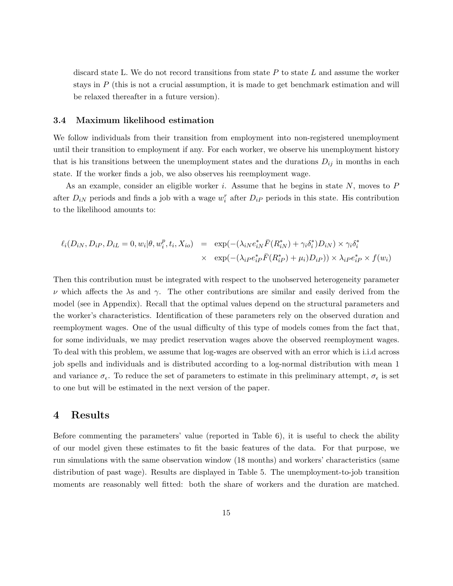discard state L. We do not record transitions from state  $P$  to state  $L$  and assume the worker stays in  $P$  (this is not a crucial assumption, it is made to get benchmark estimation and will be relaxed thereafter in a future version).

#### 3.4 Maximum likelihood estimation

We follow individuals from their transition from employment into non-registered unemployment until their transition to employment if any. For each worker, we observe his unemployment history that is his transitions between the unemployment states and the durations  $D_{ij}$  in months in each state. If the worker finds a job, we also observes his reemployment wage.

As an example, consider an eligible worker  $i$ . Assume that he begins in state  $N$ , moves to  $P$ after  $D_{iN}$  periods and finds a job with a wage  $w_i^r$  after  $D_{iP}$  periods in this state. His contribution to the likelihood amounts to:

$$
\ell_i(D_{iN}, D_{iP}, D_{iL} = 0, w_i | \theta, w_i^p, t_i, X_{io}) = \exp(-(\lambda_{iN} e_{iN}^* \bar{F}(R_{iN}^*) + \gamma_i \delta_i^*) D_{iN}) \times \gamma_i \delta_i^*
$$
  
 
$$
\times \exp(-(\lambda_{iP} e_{iP}^* \bar{F}(R_{iP}^*) + \mu_i) D_{iP})) \times \lambda_i P e_{iP}^* \times f(w_i)
$$

Then this contribution must be integrated with respect to the unobserved heterogeneity parameter  $ν$  which affects the  $λ$ s and  $γ$ . The other contributions are similar and easily derived from the model (see in Appendix). Recall that the optimal values depend on the structural parameters and the worker's characteristics. Identification of these parameters rely on the observed duration and reemployment wages. One of the usual difficulty of this type of models comes from the fact that, for some individuals, we may predict reservation wages above the observed reemployment wages. To deal with this problem, we assume that log-wages are observed with an error which is i.i.d across job spells and individuals and is distributed according to a log-normal distribution with mean 1 and variance  $\sigma_{\epsilon}$ . To reduce the set of parameters to estimate in this preliminary attempt,  $\sigma_{\epsilon}$  is set to one but will be estimated in the next version of the paper.

### 4 Results

Before commenting the parameters' value (reported in Table 6), it is useful to check the ability of our model given these estimates to fit the basic features of the data. For that purpose, we run simulations with the same observation window (18 months) and workers' characteristics (same distribution of past wage). Results are displayed in Table 5. The unemployment-to-job transition moments are reasonably well fitted: both the share of workers and the duration are matched.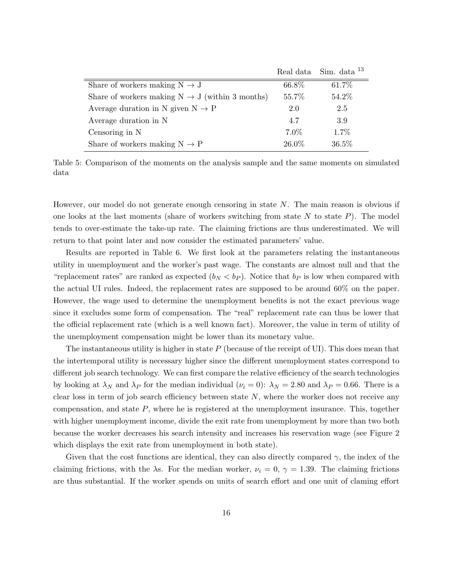|                                                             |       | Real data Sim. data <sup>13</sup> |
|-------------------------------------------------------------|-------|-----------------------------------|
| Share of workers making $N \rightarrow J$                   | 66.8% | 61.7%                             |
| Share of workers making $N \rightarrow J$ (within 3 months) | 55.7% | 54.2%                             |
| Average duration in N given $N \rightarrow P$               | 2.0   | 2.5                               |
| Average duration in N                                       | 4.7   | 3.9                               |
| Censoring in N                                              | 7.0%  | 1.7%                              |
| Share of workers making $N \rightarrow P$                   | 26.0% | 36.5%                             |

Table 5: Comparison of the moments on the analysis sample and the same moments on simulated data

However, our model do not generate enough censoring in state N. The main reason is obvious if one looks at the last moments (share of workers switching from state  $N$  to state  $P$ ). The model tends to over-estimate the take-up rate. The claiming frictions are thus underestimated. We will return to that point later and now consider the estimated parameters' value.

Results are reported in Table 6. We first look at the parameters relating the instantaneous utility in unemployment and the worker's past wage. The constants are almost null and that the "replacement rates" are ranked as expected  $(b_N < b_P)$ . Notice that  $b_P$  is low when compared with the actual UI rules. Indeed, the replacement rates are supposed to be around 60% on the paper. However, the wage used to determine the unemployment benefits is not the exact previous wage since it excludes some form of compensation. The "real" replacement rate can thus be lower that the official replacement rate (which is a well known fact). Moreover, the value in term of utility of the unemployment compensation might be lower than its monetary value.

The instantaneous utility is higher in state  $P$  (because of the receipt of UI). This does mean that the intertemporal utility is necessary higher since the different unemployment states correspond to different job search technology. We can first compare the relative efficiency of the search technologies by looking at  $\lambda_N$  and  $\lambda_P$  for the median individual ( $\nu_i = 0$ ):  $\lambda_N = 2.80$  and  $\lambda_P = 0.66$ . There is a clear loss in term of job search efficiency between state  $N$ , where the worker does not receive any compensation, and state P, where he is registered at the unemployment insurance. This, together with higher unemployment income, divide the exit rate from unemployment by more than two both because the worker decreases his search intensity and increases his reservation wage (see Figure 2 which displays the exit rate from unemployment in both state).

Given that the cost functions are identical, they can also directly compared  $\gamma$ , the index of the claiming frictions, with the  $\lambda$ s. For the median worker,  $\nu_i = 0, \gamma = 1.39$ . The claiming frictions are thus substantial. If the worker spends on units of search effort and one unit of claming effort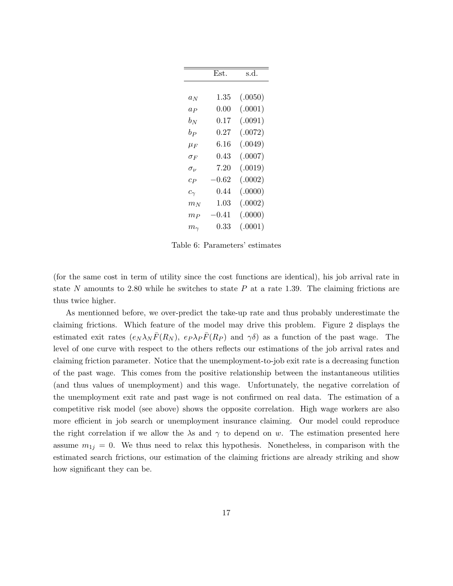|                | Est.     | s.d.    |
|----------------|----------|---------|
|                |          |         |
| $a_N$          | 1.35     | (.0050) |
| $a_P$          | 0.00     | (.0001) |
| $b_N$          | 0.17     | (.0091) |
| $b_P$          | 0.27     | (.0072) |
| $\mu_F$        | 6.16     | (.0049) |
| $\sigma_F$     | 0.43     | (.0007) |
| $\sigma_{\nu}$ | 7.20     | (.0019) |
| $c_{P}$        | 0.62     | (.0002) |
| $c_{\gamma}$   | 0.44     | (.0000) |
| $m_N$          | $1.03\,$ | (.0002) |
| $m_{P}$        | 0.41     | (.0000) |
| $m_{\gamma}$   | 0.33     | (.0001) |

Table 6: Parameters' estimates

(for the same cost in term of utility since the cost functions are identical), his job arrival rate in state N amounts to 2.80 while he switches to state  $P$  at a rate 1.39. The claiming frictions are thus twice higher.

As mentionned before, we over-predict the take-up rate and thus probably underestimate the claiming frictions. Which feature of the model may drive this problem. Figure 2 displays the estimated exit rates  $(e_N \lambda_N \bar{F}(R_N), e_P \lambda_P \bar{F}(R_P)$  and  $\gamma \delta)$  as a function of the past wage. The level of one curve with respect to the others reflects our estimations of the job arrival rates and claiming friction parameter. Notice that the unemployment-to-job exit rate is a decreasing function of the past wage. This comes from the positive relationship between the instantaneous utilities (and thus values of unemployment) and this wage. Unfortunately, the negative correlation of the unemployment exit rate and past wage is not confirmed on real data. The estimation of a competitive risk model (see above) shows the opposite correlation. High wage workers are also more efficient in job search or unemployment insurance claiming. Our model could reproduce the right correlation if we allow the  $\lambda$ s and  $\gamma$  to depend on w. The estimation presented here assume  $m_{1j} = 0$ . We thus need to relax this hypothesis. Nonetheless, in comparison with the estimated search frictions, our estimation of the claiming frictions are already striking and show how significant they can be.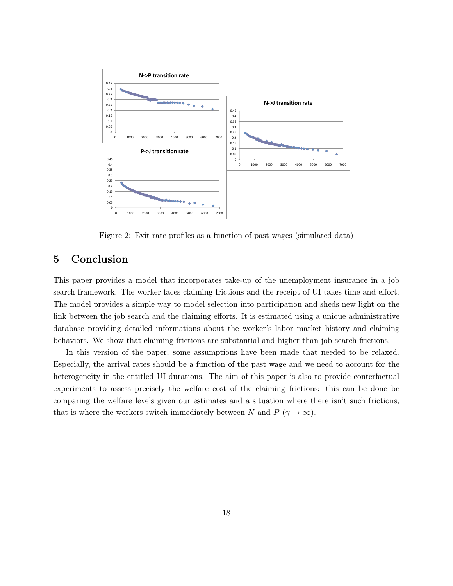

Figure 2: Exit rate profiles as a function of past wages (simulated data)

## 5 Conclusion

This paper provides a model that incorporates take-up of the unemployment insurance in a job search framework. The worker faces claiming frictions and the receipt of UI takes time and effort. The model provides a simple way to model selection into participation and sheds new light on the link between the job search and the claiming efforts. It is estimated using a unique administrative database providing detailed informations about the worker's labor market history and claiming behaviors. We show that claiming frictions are substantial and higher than job search frictions.

In this version of the paper, some assumptions have been made that needed to be relaxed. Especially, the arrival rates should be a function of the past wage and we need to account for the heterogeneity in the entitled UI durations. The aim of this paper is also to provide conterfactual experiments to assess precisely the welfare cost of the claiming frictions: this can be done be comparing the welfare levels given our estimates and a situation where there isn't such frictions, that is where the workers switch immediately between N and  $P(\gamma \to \infty)$ .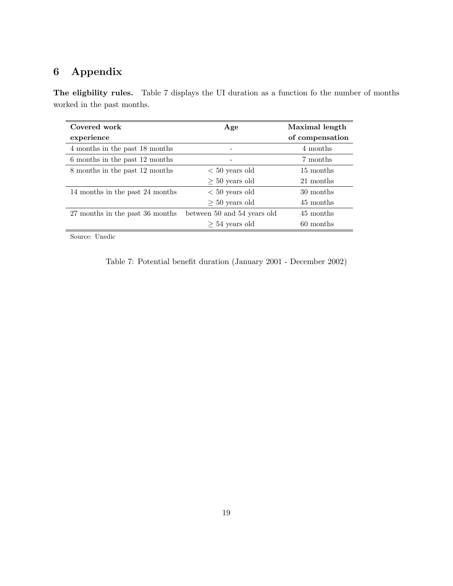# 6 Appendix

The eligbility rules. Table 7 displays the UI duration as a function fo the number of months worked in the past months.

| Covered work                    | Age                         | Maximal length  |
|---------------------------------|-----------------------------|-----------------|
| experience                      |                             | of compensation |
| 4 months in the past 18 months  |                             | 4 months        |
| 6 months in the past 12 months  |                             | 7 months        |
| 8 months in the past 12 months  | $< 50$ years old            | 15 months       |
|                                 | $\geq 50$ years old         | 21 months       |
| 14 months in the past 24 months | $< 50$ years old            | 30 months       |
|                                 | $\geq 50$ years old         | 45 months       |
| 27 months in the past 36 months | between 50 and 54 years old | 45 months       |
|                                 | $> 54$ years old            | 60 months       |

Source: Unedic

| Table 7: Potential benefit duration (January 2001 - December 2002) |  |  |
|--------------------------------------------------------------------|--|--|
|--------------------------------------------------------------------|--|--|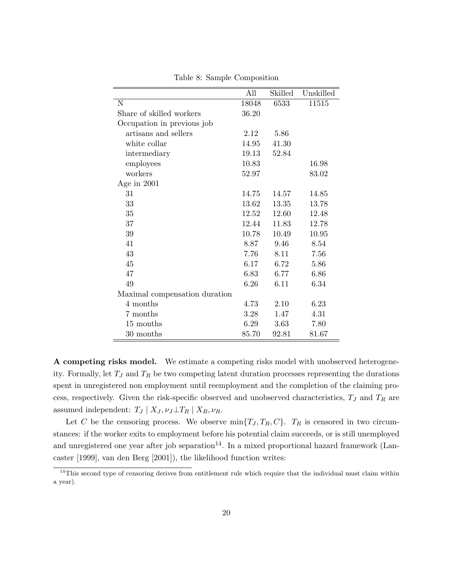|                               | All   | Skilled | Unskilled |
|-------------------------------|-------|---------|-----------|
| $\overline{N}$                | 18048 | 6533    | 11515     |
| Share of skilled workers      | 36.20 |         |           |
| Occupation in previous job    |       |         |           |
| artisans and sellers          | 2.12  | 5.86    |           |
| white collar                  | 14.95 | 41.30   |           |
| intermediary                  | 19.13 | 52.84   |           |
| employees                     | 10.83 |         | 16.98     |
| workers                       | 52.97 |         | 83.02     |
| Age in $2001$                 |       |         |           |
| 31                            | 14.75 | 14.57   | 14.85     |
| 33                            | 13.62 | 13.35   | 13.78     |
| 35                            | 12.52 | 12.60   | 12.48     |
| 37                            | 12.44 | 11.83   | 12.78     |
| 39                            | 10.78 | 10.49   | 10.95     |
| 41                            | 8.87  | 9.46    | 8.54      |
| 43                            | 7.76  | 8.11    | 7.56      |
| 45                            | 6.17  | 6.72    | 5.86      |
| 47                            | 6.83  | 6.77    | 6.86      |
| 49                            | 6.26  | 6.11    | 6.34      |
| Maximal compensation duration |       |         |           |
| 4 months                      | 4.73  | 2.10    | 6.23      |
| 7 months                      | 3.28  | 1.47    | 4.31      |
| 15 months                     | 6.29  | 3.63    | 7.80      |
| $30$ months                   | 85.70 | 92.81   | 81.67     |

Table 8: Sample Composition

A competing risks model. We estimate a competing risks model with unobserved heterogeneity. Formally, let  $T_J$  and  $T_R$  be two competing latent duration processes representing the durations spent in unregistered non employment until reemployment and the completion of the claiming process, respectively. Given the risk-specific observed and unobserved characteristics,  $T_J$  and  $T_R$  are assumed independent:  $T_J | X_J, \nu_J \perp T_R | X_R, \nu_R$ .

Let C be the censoring process. We observe  $\min\{T_J, T_R, C\}$ .  $T_R$  is censored in two circumstances: if the worker exits to employment before his potential claim succeeds, or is still unemployed and unregistered one year after job separation<sup>14</sup>. In a mixed proportional hazard framework (Lancaster [1999], van den Berg [2001]), the likelihood function writes:

<sup>&</sup>lt;sup>14</sup>This second type of censoring derives from entitlement rule which require that the individual must claim within a year).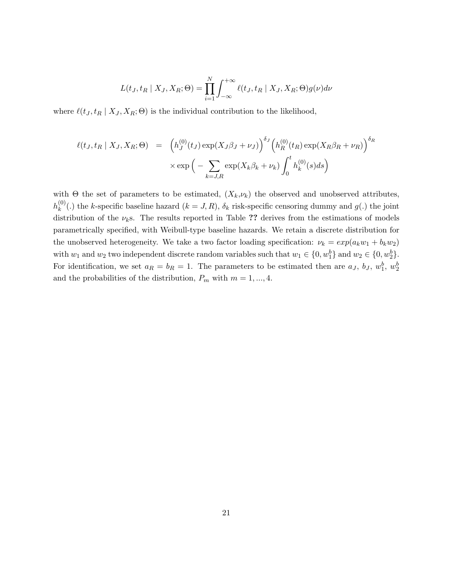$$
L(t_J, t_R | X_J, X_R; \Theta) = \prod_{i=1}^N \int_{-\infty}^{+\infty} \ell(t_J, t_R | X_J, X_R; \Theta) g(\nu) d\nu
$$

where  $\ell(t_J , t_R | X_J, X_R; \Theta)$  is the individual contribution to the likelihood,

$$
\ell(t_J, t_R | X_J, X_R; \Theta) = \left( h_J^{(0)}(t_J) \exp(X_J \beta_J + \nu_J) \right)^{\delta_J} \left( h_R^{(0)}(t_R) \exp(X_R \beta_R + \nu_R) \right)^{\delta_R}
$$

$$
\times \exp\left( - \sum_{k=J,R} \exp(X_k \beta_k + \nu_k) \int_0^t h_k^{(0)}(s) ds \right)
$$

with  $\Theta$  the set of parameters to be estimated,  $(X_k, \nu_k)$  the observed and unobserved attributes,  $h_k^{(0)}$  $k^{(0)}(k)$  the k-specific baseline hazard  $(k = J, R)$ ,  $\delta_k$  risk-specific censoring dummy and  $g(k)$  the joint distribution of the  $\nu_k$ s. The results reported in Table ?? derives from the estimations of models parametrically specified, with Weibull-type baseline hazards. We retain a discrete distribution for the unobserved heterogeneity. We take a two factor loading specification:  $\nu_k = exp(a_k w_1 + b_k w_2)$ with  $w_1$  and  $w_2$  two independent discrete random variables such that  $w_1 \in \{0, w_1^b\}$  and  $w_2 \in \{0, w_2^b\}$ . For identification, we set  $a_R = b_R = 1$ . The parameters to be estimated then are  $a_J$ ,  $b_J$ ,  $w_1^b$ ,  $w_2^b$ and the probabilities of the distribution,  $P_m$  with  $m = 1, ..., 4$ .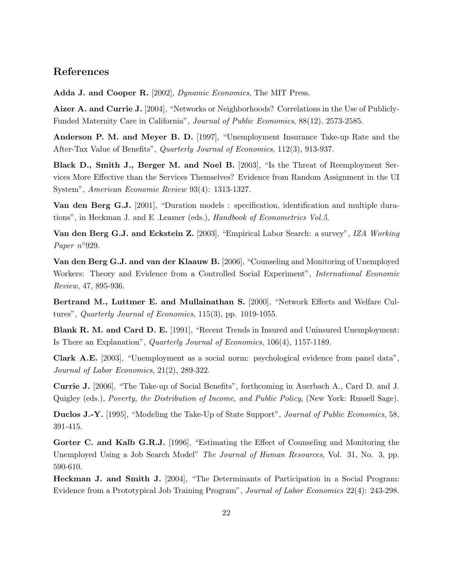## References

Adda J. and Cooper R. [2002], Dynamic Economics, The MIT Press.

Aizer A. and Currie J. [2004], "Networks or Neighborhoods? Correlations in the Use of Publicly-Funded Maternity Care in California", Journal of Public Economics, 88(12), 2573-2585.

Anderson P. M. and Meyer B. D. [1997], "Unemployment Insurance Take-up Rate and the After-Tax Value of Benefits", Quarterly Journal of Economics, 112(3), 913-937.

Black D., Smith J., Berger M. and Noel B. [2003], "Is the Threat of Reemployment Services More Effective than the Services Themselves? Evidence from Random Assignment in the UI System", American Economic Review 93(4): 1313-1327.

Van den Berg G.J. [2001], "Duration models : specification, identification and multiple durations", in Heckman J. and E .Leamer (eds.), Handbook of Econometrics Vol.5.

Van den Berg G.J. and Eckstein Z. [2003], "Empirical Labor Search: a survey", IZA Working Paper n°929.

Van den Berg G.J. and van der Klaauw B. [2006], "Counseling and Monitoring of Unemployed Workers: Theory and Evidence from a Controlled Social Experiment", International Economic Review, 47, 895-936.

Bertrand M., Luttmer E. and Mullainathan S. [2000], "Network Effects and Welfare Cultures", Quarterly Journal of Economics, 115(3), pp. 1019-1055.

Blank R. M. and Card D. E. [1991], "Recent Trends in Insured and Uninsured Unemployment: Is There an Explanation", Quarterly Journal of Economics, 106(4), 1157-1189.

Clark A.E. [2003], "Unemployment as a social norm: psychological evidence from panel data", Journal of Labor Economics, 21(2), 289-322.

Currie J. [2006], "The Take-up of Social Benefits", forthcoming in Auerbach A., Card D. and J. Quigley (eds.), Poverty, the Distribution of Income, and Public Policy, (New York: Russell Sage).

Duclos J.-Y. [1995], "Modeling the Take-Up of State Support", *Journal of Public Economics*, 58, 391-415.

Gorter C. and Kalb G.R.J. [1996], "Estimating the Effect of Counseling and Monitoring the Unemployed Using a Job Search Model" *The Journal of Human Resources*, Vol. 31, No. 3, pp. 590-610.

Heckman J. and Smith J. [2004], "The Determinants of Participation in a Social Program: Evidence from a Prototypical Job Training Program", Journal of Labor Economics 22(4): 243-298.